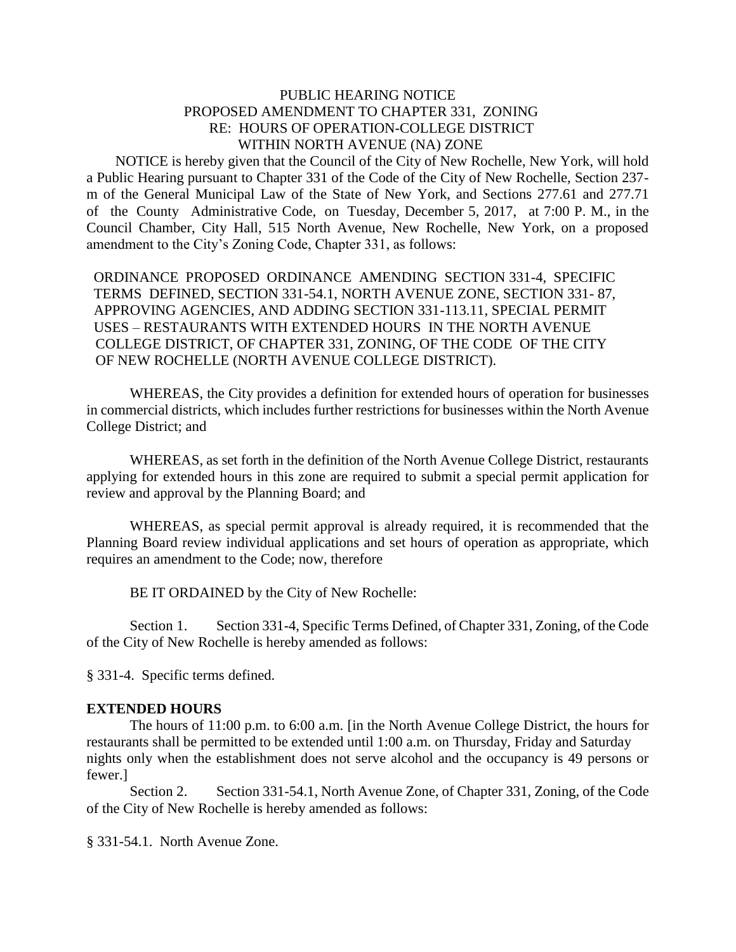## PUBLIC HEARING NOTICE PROPOSED AMENDMENT TO CHAPTER 331, ZONING RE: HOURS OF OPERATION-COLLEGE DISTRICT WITHIN NORTH AVENUE (NA) ZONE

 NOTICE is hereby given that the Council of the City of New Rochelle, New York, will hold a Public Hearing pursuant to Chapter 331 of the Code of the City of New Rochelle, Section 237 m of the General Municipal Law of the State of New York, and Sections 277.61 and 277.71 of the County Administrative Code, on Tuesday, December 5*,* 2017, at 7:00 P. M., in the Council Chamber, City Hall, 515 North Avenue, New Rochelle, New York, on a proposed amendment to the City's Zoning Code, Chapter 331, as follows:

 ORDINANCE PROPOSED ORDINANCE AMENDING SECTION 331-4, SPECIFIC TERMS DEFINED, SECTION 331-54.1, NORTH AVENUE ZONE, SECTION 331- 87, APPROVING AGENCIES, AND ADDING SECTION 331-113.11, SPECIAL PERMIT USES – RESTAURANTS WITH EXTENDED HOURS IN THE NORTH AVENUE COLLEGE DISTRICT, OF CHAPTER 331, ZONING, OF THE CODE OF THE CITY OF NEW ROCHELLE (NORTH AVENUE COLLEGE DISTRICT).

WHEREAS, the City provides a definition for extended hours of operation for businesses in commercial districts, which includes further restrictions for businesses within the North Avenue College District; and

WHEREAS, as set forth in the definition of the North Avenue College District, restaurants applying for extended hours in this zone are required to submit a special permit application for review and approval by the Planning Board; and

WHEREAS, as special permit approval is already required, it is recommended that the Planning Board review individual applications and set hours of operation as appropriate, which requires an amendment to the Code; now, therefore

BE IT ORDAINED by the City of New Rochelle:

Section 1. Section 331-4, Specific Terms Defined, of Chapter 331, Zoning, of the Code of the City of New Rochelle is hereby amended as follows:

§ 331-4. Specific terms defined.

## **EXTENDED HOURS**

The hours of 11:00 p.m. to 6:00 a.m. [in the North Avenue College District, the hours for restaurants shall be permitted to be extended until 1:00 a.m. on Thursday, Friday and Saturday nights only when the establishment does not serve alcohol and the occupancy is 49 persons or fewer.]

Section 2. Section 331-54.1, North Avenue Zone, of Chapter 331, Zoning, of the Code of the City of New Rochelle is hereby amended as follows:

§ 331-54.1. North Avenue Zone.